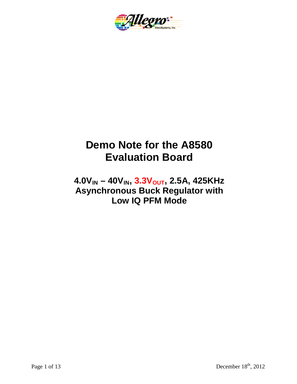

# **Demo Note for the A8580 Evaluation Board**

# $4.0V_{IN} - 40V_{IN}$ ,  $3.3V_{OUT}$ , 2.5A, 425KHz **Asynchronous Buck Regulator with Low IQ PFM Mode**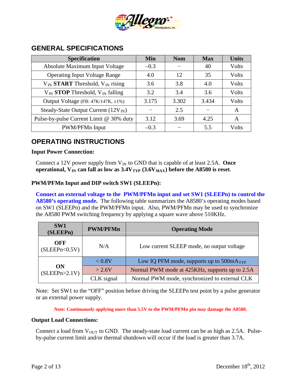

| <b>Specification</b>                             | <b>Min</b> | <b>Nom</b> | <b>Max</b> | <b>Units</b> |
|--------------------------------------------------|------------|------------|------------|--------------|
| Absolute Maximum Input Voltage                   | $-0.3$     |            | 40         | Volts        |
| <b>Operating Input Voltage Range</b>             | 4.0        | 12         | 35         | Volts        |
| $V_{IN}$ START Threshold, $V_{IN}$ rising        | 3.6        | 3.8        | 4.0        | Volts        |
| $V_{IN}$ <b>STOP</b> Threshold, $V_{IN}$ falling | 3.2        | 3.4        | 3.6        | Volts        |
| Output Voltage (FB: 47K/147K, ±1%)               | 3.175      | 3.302      | 3.434      | Volts        |
| Steady-State Output Current $(12V_{IN})$         |            | 2.5        |            | A            |
| Pulse-by-pulse Current Limit @ 30% duty          | 3.12       | 3.69       | 4.25       | A            |
| PWM/PFMn Input                                   | $-0.3$     |            | 5.5        | Volts        |

#### **GENERAL SPECIFICATIONS**

## **OPERATING INSTRUCTIONS**

#### **Input Power Connection:**

Connect a 12V power supply from  $V_{IN}$  to GND that is capable of at least 2.5A. Once **operational,**  $V_{IN}$  **can fall as low as**  $3.4V_{TYP}$  $(3.6V_{MAX})$  **before the A8580 is reset.** 

#### **PWM/PFMn Input and DIP switch SW1 (SLEEPn):**

**Connect an external voltage to the PWM/PFMn input and set SW1 (SLEEPn) to control the A8580's operating mode.** The following table summarizes the A8580's operating modes based on SW1 (SLEEPn) and the PWM/PFMn input. Also, PWM/PFMn may be used to synchronize the A8580 PWM switching frequency by applying a square wave above 510KHz.

| SW1<br>(SLEEPn)        | <b>PWM/PFMn</b> | <b>Operating Mode</b>                          |  |  |
|------------------------|-----------------|------------------------------------------------|--|--|
| OFF<br>(SLEEPh < 0.5V) | N/A             | Low current SLEEP mode, no output voltage      |  |  |
| ON<br>(SLEEPn>2.1V)    | < 0.8V          | Low IQ PFM mode, supports up to $500mA_{TYP}$  |  |  |
|                        | $>2.6V$         | Normal PWM mode at 425KHz, supports up to 2.5A |  |  |
|                        | CLK signal      | Normal PWM mode, synchronized to external CLK  |  |  |

Note: Set SW1 to the "OFF" position before driving the SLEEPn test point by a pulse generator or an external power supply.

**Note: Continuously applying more than 5.5V to the PWM/PFMn pin may damage the A8580.**

#### **Output Load Connections:**

Connect a load from  $V_{OUT}$  to GND. The steady-state load current can be as high as 2.5A. Pulseby-pulse current limit and/or thermal shutdown will occur if the load is greater than 3.7A.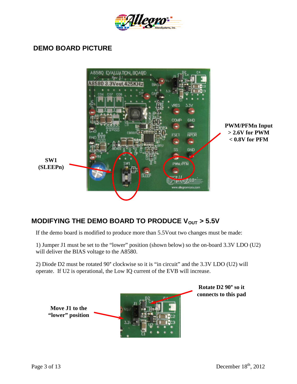

#### **DEMO BOARD PICTURE**



## **MODIFYING THE DEMO BOARD TO PRODUCE V<sub>OUT</sub> > 5.5V**

If the demo board is modified to produce more than 5.5Vout two changes must be made:

1) Jumper J1 must be set to the "lower" position (shown below) so the on-board 3.3V LDO (U2) will deliver the BIAS voltage to the A8580.

2) Diode D2 must be rotated 90° clockwise so it is "in circuit" and the 3.3V LDO (U2) will operate. If U2 is operational, the Low IQ current of the EVB will increase.

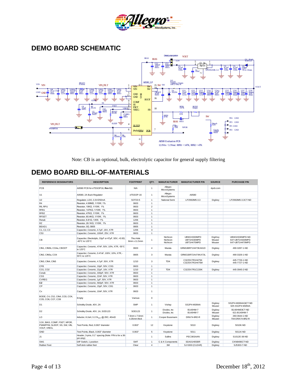

## **DEMO BOARD SCHEMATIC**



Note: CB is an optional, bulk, electrolytic capacitor for general supply filtering

#### **DEMO BOARD BILL-OF-MATERIALS**

| <b>REFERENCE DESIGNATORS</b>                                                 | <b>DESCRIPTION</b>                                                   | <b>FOOTPRINT</b>              | QTY.           | <b>MANUFACTURER</b>              | <b>MANUFACTURER P/N</b>                   | <b>SOURCE</b>               | <b>PURCHASE P/N</b>                                  |
|------------------------------------------------------------------------------|----------------------------------------------------------------------|-------------------------------|----------------|----------------------------------|-------------------------------------------|-----------------------------|------------------------------------------------------|
| PCB                                                                          | A8580 PCB for eTSSOP16, Rev 0.1                                      | N/A                           | 1              | Allegro<br>MicroSystems          |                                           | 4pcb.com                    |                                                      |
| U <sub>1</sub>                                                               | A8580, 2A Buck Regulator                                             | eTSSOP-16                     | $\mathbf{1}$   | Allegro<br>MicroSystems          | A8580                                     |                             |                                                      |
| U <sub>2</sub>                                                               | Regulator, LDO, 3.3V/250mA                                           | SOT23-5                       | $\overline{1}$ | National Semi                    | LP2992IM5-3.3                             | Digikey                     | LP2992IM5-3.3CT-ND                                   |
| R <sub>4</sub>                                                               | Resistor, 4.99ΜΩ, 1/10W, 1%                                          | 0603                          | $\mathbf{1}$   |                                  |                                           |                             |                                                      |
| R6. RPU                                                                      | Resistor, 10ΚΩ, 1/10W, 1%                                            | 0603                          | $\overline{2}$ |                                  |                                           |                             |                                                      |
| RFB1                                                                         | Resistor, 147KΩ, 1/10W, 1%                                           | 0603                          | $\overline{1}$ |                                  |                                           |                             |                                                      |
| RFB <sub>2</sub>                                                             | Resistor, 47KΩ, 1/10W, 1%                                            | 0603                          | $\overline{1}$ |                                  |                                           |                             |                                                      |
| <b>RFSET</b>                                                                 | Resistor, 60.4KΩ, 1/10W, 1%                                          | 0603                          | $\overline{1}$ |                                  |                                           |                             |                                                      |
| Rsnub                                                                        | Resistor, 6.81Ω, 1/4W, 1%                                            | 1206                          | $\mathbf{1}$   |                                  |                                           |                             |                                                      |
| <b>RZ</b>                                                                    | Resistor, 26.1KΩ, 1/10W, 1%                                          | 0603                          | $\mathbf{1}$   |                                  |                                           |                             |                                                      |
| BEAD1                                                                        | Resistor, 0Ω, 0805                                                   | 0805                          | $\mathbf{1}$   |                                  |                                           |                             |                                                      |
| C <sub>1</sub> . C <sub>2</sub> . C <sub>3</sub>                             | Capacitor, Ceramic, 4.7µF, 16V, X7R                                  | 1206                          | 3              |                                  |                                           |                             |                                                      |
| C53                                                                          | Capacitor, Ceramic, 100nF, 25V, X7R                                  | 0603                          | 1              |                                  |                                           |                             |                                                      |
| СB                                                                           | Capacitor, Electrolytic, 33µF or 47µF, 50V, <0.5Ω,<br>-40°C to 125°C | Thru Hole<br>8mm x 11.5mm     | 1              | Nichicon<br>Nichicon<br>Nichicon | UBW1H330MPD<br>UBT1H330MPD<br>UBT1H470MPD | DigiKey<br>Mouser<br>Mouser | UBW1H330MPD-ND<br>647-UBT1H330MPD<br>647-UBT1H470MPD |
| CIN1, CIN5b, CO4a, CBOOT                                                     | Capacitor, Ceramic, 47nF, 50V, 10%, X7R, -55°C<br>to 125°C           | 0603                          | $\overline{4}$ | Murata                           | GRM188R71H473KA61D                        | Digikey                     | 490-3287-1-ND                                        |
| CIN2, CIN5a, CO4                                                             | Capacitor, Ceramic, 0.47uF, 100V, 10%, X7R, -<br>55°C to 125°C       | 0805                          | 3              | Murata                           | GRM21BR72A474KA73L                        | Digikey                     | 490-3326-1-ND                                        |
| CIN3, CIN4, CIN5                                                             | Capacitor, Ceramic, 4.7µF, 50V, X7R                                  | 1210                          | 3              | <b>TDK</b>                       | C3225X7R1H475K<br>C3225X7R1H475M          | Digikey                     | 445-7726-1-ND<br>445-7727-1-ND                       |
| <b>CFB</b>                                                                   | Capacitor, Ceramic, 10pF, 50V, COG                                   | 0603                          | $\mathbf{1}$   |                                  |                                           |                             |                                                      |
| CO1, CO2                                                                     | Capacitor, Ceramic, 22µF, 16V, X7R                                   | 1210                          | $\overline{2}$ | <b>TDK</b>                       | C3225X7R1C226K                            | Digikey                     | 445-3945-2-ND                                        |
| Csnub                                                                        | Capacitor, Ceramic, 330pF, 50V, X7R                                  | 0603                          | $\overline{1}$ |                                  |                                           |                             |                                                      |
| <b>CSS</b>                                                                   | Capacitor, Ceramic, 22nF, 50V, X7R                                   | 0603                          | $\overline{1}$ |                                  |                                           |                             |                                                      |
| <b>CVREG</b>                                                                 | Capacitor, Ceramic, 1µF, 50V, X7R                                    | 0603                          | $\overline{1}$ |                                  |                                           |                             |                                                      |
| CZ                                                                           | Capacitor, Ceramic, 560pF, 50V, X7R                                  | 0603                          | $\overline{1}$ |                                  |                                           |                             |                                                      |
| CP                                                                           | Capacitor, Ceramic, 15pF, 50V, C0G                                   | 0603                          | $\overline{1}$ |                                  |                                           |                             |                                                      |
| Cx                                                                           | Capacitor, Ceramic, 10nF, 50V, X7R                                   | 0603                          | 1              |                                  |                                           |                             |                                                      |
| BODE, C4, C52, CIN4, CO3, CO4,<br>CO5, CO6, CO7, CO8                         | Empty                                                                | Various                       | $\mathbf 0$    |                                  |                                           |                             |                                                      |
| D <sub>1</sub>                                                               | Schottky Diode, 40V, 2A                                              | <b>SMP</b>                    | $\overline{1}$ | Vishay                           | SS2P4-M3/84A                              | Digikey<br>Mouser           | SS2P4-M3/84AGICT-ND<br>625-SS2P4-M3/84A              |
| D <sub>2</sub>                                                               | Schottky Diode, 40V, 1A, SOD123                                      | SOD123                        | $\overline{1}$ | Diodes, Inc.<br>Diodes, Inc.     | B140HW-7<br>B140HW-7                      | Digikey<br>Mouser           | B140HWDICT-ND<br>621-B140HW-7                        |
| LO                                                                           | Inductor, 8.2uH, 3.17A <sub>SAT</sub> @ 25C, 40mΩ                    | 7.6mm x 7.6mm<br>4.35mm thick | 1              | Cooper Bussmann                  | DRA74-8R2-R                               | Digikey<br>Mouser           | 283-3644-1-ND<br>704-DRA74-8R2-R                     |
| 3.3V, BIAS, COMP, FSET, NPOR,<br>PWM/PFM, SLEEP, SS, SW, VIN,<br>VOUT, VREG, | Test Points, Red, 0.063" diameter                                    | 0.063"                        | 12             | Keystone                         | 5010                                      | Digikey                     | 5010K-ND                                             |
| GND                                                                          | Test Points, Black, 0.063" diameter                                  | 0.063"                        | 5              | Keystone                         | 5011                                      | Digikey                     | 5011K-ND                                             |
| J <sub>1</sub>                                                               | Header, 3-pins, 0.1" spacing (Note: P/N is for a 36-<br>pin strip)   |                               | $\mathbf{1}$   | Sullins                          | PEC36SAAN                                 | Digikey                     | S1012E-36-ND                                         |
| SW <sub>1</sub>                                                              | DIP Switch, 1 position                                               | <b>SMT</b>                    | $\mathbf{1}$   | C & K Components                 | SDA01H0SBR                                | Digikey                     | CKN9490CT-ND                                         |
| <b>Rubber Feet</b>                                                           | Self stick rubber feet                                               | Clear                         | $\overline{4}$ | 3M                               | SJ-5303 (CLEAR)                           | Digikey                     | SJ5303-7-ND                                          |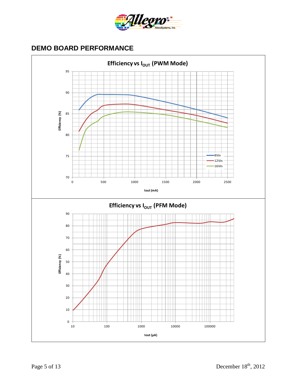

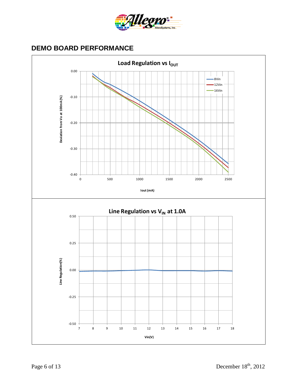

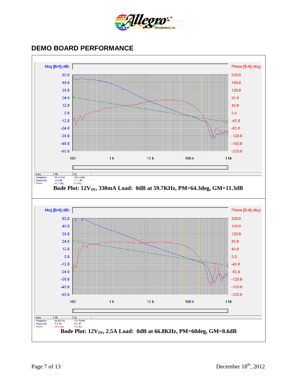

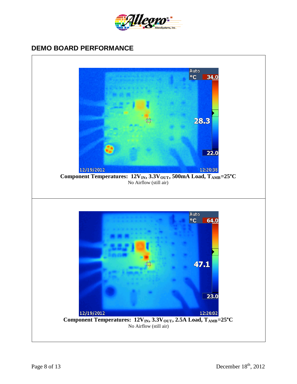

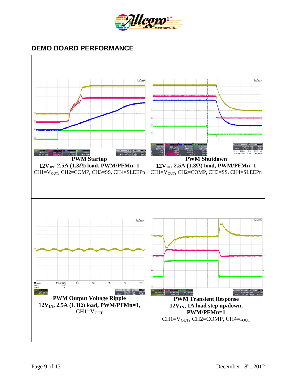

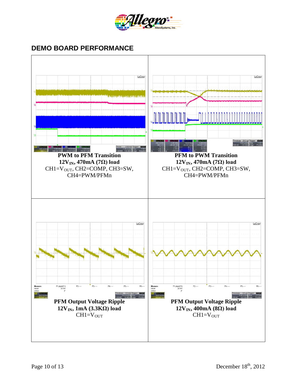

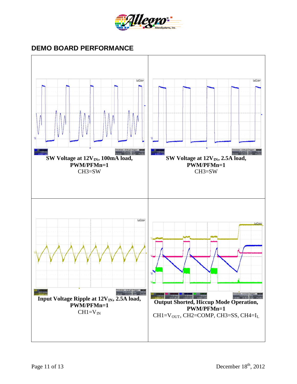

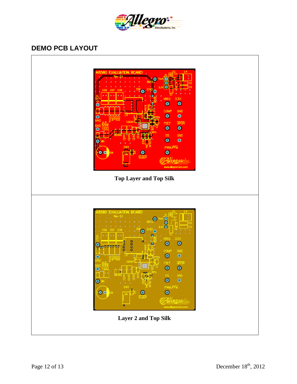

## **DEMO PCB LAYOUT**